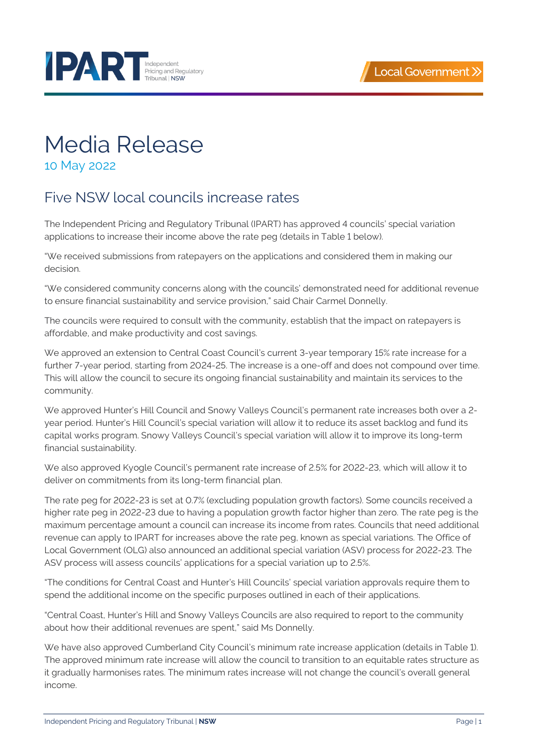



## Media Release

10 May 2022

## Five NSW local councils increase rates

The Independent Pricing and Regulatory Tribunal (IPART) has approved 4 councils' special variation applications to increase their income above the rate peg (details in [Table](#page-1-0) 1 [below\)](#page-1-0).

"We received submissions from ratepayers on the applications and considered them in making our decision.

"We considered community concerns along with the councils' demonstrated need for additional revenue to ensure financial sustainability and service provision," said Chair Carmel Donnelly.

The councils were required to consult with the community, establish that the impact on ratepayers is affordable, and make productivity and cost savings.

We approved an extension to Central Coast Council's current 3-year temporary 15% rate increase for a further 7-year period, starting from 2024-25. The increase is a one-off and does not compound over time. This will allow the council to secure its ongoing financial sustainability and maintain its services to the community.

We approved Hunter's Hill Council and Snowy Valleys Council's permanent rate increases both over a 2 year period. Hunter's Hill Council's special variation will allow it to reduce its asset backlog and fund its capital works program. Snowy Valleys Council's special variation will allow it to improve its long-term financial sustainability.

We also approved Kyogle Council's permanent rate increase of 2.5% for 2022-23, which will allow it to deliver on commitments from its long-term financial plan.

The rate peg for 2022-23 is set at 0.7% (excluding population growth factors). Some councils received a higher rate peg in 2022-23 due to having a population growth factor higher than zero. The rate peg is the maximum percentage amount a council can increase its income from rates. Councils that need additional revenue can apply to IPART for increases above the rate peg, known as special variations. The Office of Local Government (OLG) also announced an additional special variation (ASV) process for 2022-23. The ASV process will assess councils' applications for a special variation up to 2.5%.

"The conditions for Central Coast and Hunter's Hill Councils' special variation approvals require them to spend the additional income on the specific purposes outlined in each of their applications.

"Central Coast, Hunter's Hill and Snowy Valleys Councils are also required to report to the community about how their additional revenues are spent," said Ms Donnelly.

We have also approved Cumberland City Council's minimum rate increase application (details in [Table](#page-1-0) 1). The approved minimum rate increase will allow the council to transition to an equitable rates structure as it gradually harmonises rates. The minimum rates increase will not change the council's overall general income.